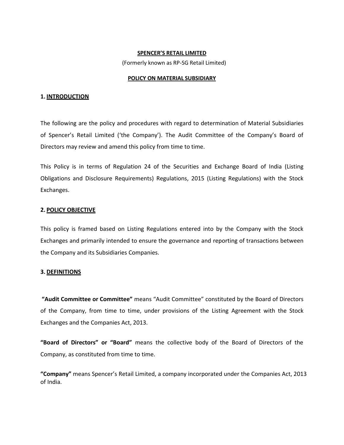### **SPENCER'S RETAIL LIMITED**

(Formerly known as RP-SG Retail Limited)

#### **POLICY ON MATERIAL SUBSIDIARY**

#### **1. INTRODUCTION**

The following are the policy and procedures with regard to determination of Material Subsidiaries of Spencer's Retail Limited ('the Company'). The Audit Committee of the Company's Board of Directors may review and amend this policy from time to time.

This Policy is in terms of Regulation 24 of the Securities and Exchange Board of India (Listing Obligations and Disclosure Requirements) Regulations, 2015 (Listing Regulations) with the Stock Exchanges.

### **2. POLICY OBJECTIVE**

This policy is framed based on Listing Regulations entered into by the Company with the Stock Exchanges and primarily intended to ensure the governance and reporting of transactions between the Company and its Subsidiaries Companies.

### **3. DEFINITIONS**

**"Audit Committee or Committee"** means "Audit Committee" constituted by the Board of Directors of the Company, from time to time, under provisions of the Listing Agreement with the Stock Exchanges and the Companies Act, 2013.

**"Board of Directors" or "Board"** means the collective body of the Board of Directors of the Company, as constituted from time to time.

**"Company"** means Spencer's Retail Limited, a company incorporated under the Companies Act, 2013 of India.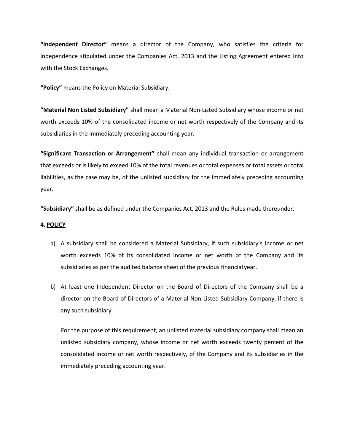**"Independent Director"** means a director of the Company, who satisfies the criteria for independence stipulated under the Companies Act, 2013 and the Listing Agreement entered into with the Stock Exchanges.

**"Policy"** means the Policy on Material Subsidiary.

**"Material Non Listed Subsidiary"** shall mean a Material Non-Listed Subsidiary whose income or net worth exceeds 10% of the consolidated income or net worth respectively of the Company and its subsidiaries in the immediately preceding accounting year.

**"Significant Transaction or Arrangement"** shall mean any individual transaction or arrangement that exceeds or is likely to exceed 10% of the total revenues or total expenses or total assets or total liabilities, as the case may be, of the unlisted subsidiary for the immediately preceding accounting year.

**"Subsidiary"** shall be as defined under the Companies Act, 2013 and the Rules made thereunder.

# **4. POLICY**

- a) A subsidiary shall be considered a Material Subsidiary, if such subsidiary's income or net worth exceeds 10% of its consolidated income or net worth of the Company and its subsidiaries as per the audited balance sheet of the previous financial year.
- b) At least one Independent Director on the Board of Directors of the Company shall be a director on the Board of Directors of a Material Non-Listed Subsidiary Company, if there is any such subsidiary.

For the purpose of this requirement, an unlisted material subsidiary company shall mean an unlisted subsidiary company, whose income or net worth exceeds twenty percent of the consolidated income or net worth respectively, of the Company and its subsidiaries in the immediately preceding accounting year.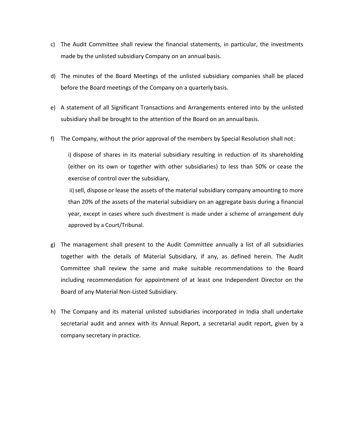- c) The Audit Committee shall review the financial statements, in particular, the investments made by the unlisted subsidiary Company on an annual basis.
- d) The minutes of the Board Meetings of the unlisted subsidiary companies shall be placed before the Board meetings of the Company on a quarterly basis.
- e) A statement of all Significant Transactions and Arrangements entered into by the unlisted subsidiary shall be brought to the attention of the Board on an annualbasis.
- f) The Company, without the prior approval of the members by Special Resolution shall not:

i) dispose of shares in its material subsidiary resulting in reduction of its shareholding (either on its own or together with other subsidiaries) to less than 50% or cease the exercise of control over the subsidiary,

ii) sell, dispose or lease the assets of the material subsidiary company amounting to more than 20% of the assets of the material subsidiary on an aggregate basis during a financial year, except in cases where such divestment is made under a scheme of arrangement duly approved by a Court/Tribunal.

- g) The management shall present to the Audit Committee annually a list of all subsidiaries together with the details of Material Subsidiary, if any, as defined herein. The Audit Committee shall review the same and make suitable recommendations to the Board including recommendation for appointment of at least one Independent Director on the Board of any Material Non-Listed Subsidiary.
- h) The Company and its material unlisted subsidiaries incorporated in India shall undertake secretarial audit and annex with its Annual Report, a secretarial audit report, given by a company secretary in practice.